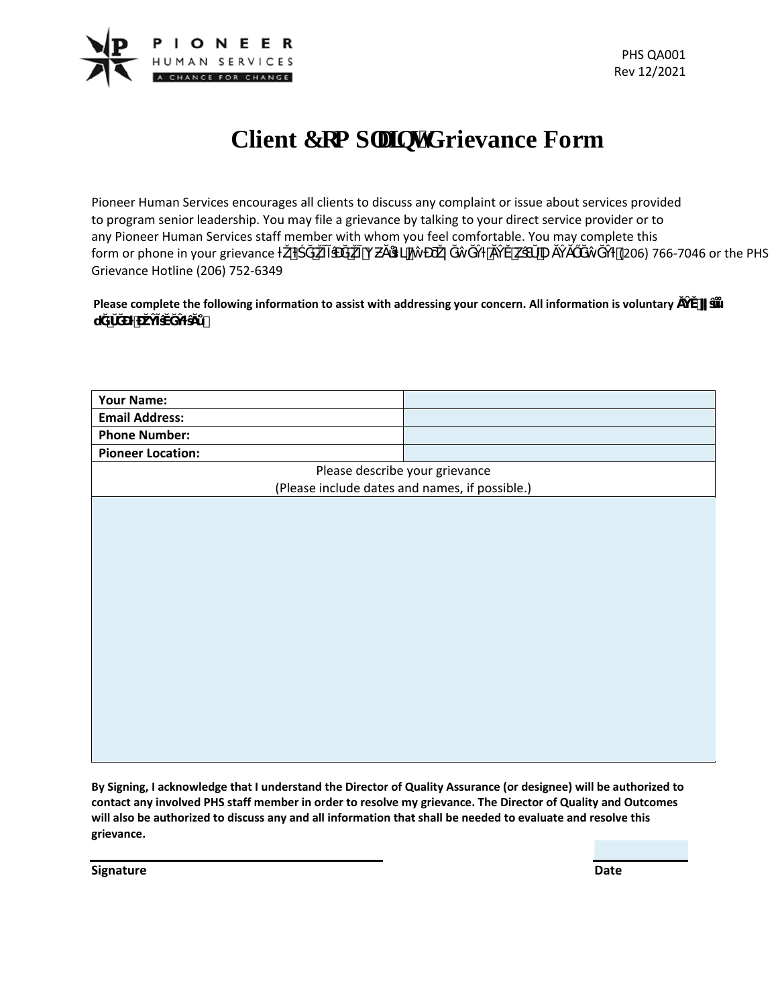

## **Client Eqo rnelpvlGrievance Form**

Pioneer Human Services encourages all clients to discuss any complaint or issue about services provided to program senior leadership. You may file a grievance by talking to your direct service provider or to any Pioneer Human Services staff member with whom you feel comfortable. You may complete this form or phone in your grievance  $\ddot{i}$   $\ddot{e}$   $\dot{k}$  U  $(206)$  766-7046 or the PHS Grievance Hotline (206) 752-6349

Please complete the following information to assist with addressing your concern. All information is voluntary  $\mathcal{A}$ ŭ Ĝ

| <b>Your Name:</b>                              |  |
|------------------------------------------------|--|
| <b>Email Address:</b>                          |  |
| <b>Phone Number:</b>                           |  |
| <b>Pioneer Location:</b>                       |  |
| Please describe your grievance                 |  |
| (Please include dates and names, if possible.) |  |
|                                                |  |
|                                                |  |
|                                                |  |
|                                                |  |
|                                                |  |
|                                                |  |
|                                                |  |
|                                                |  |
|                                                |  |
|                                                |  |
|                                                |  |
|                                                |  |
|                                                |  |
|                                                |  |
|                                                |  |
|                                                |  |
|                                                |  |

**By Signing, I acknowledge that I understand the Director of Quality Assurance (or designee) will be authorized to contact any involved PHS staff member in order to resolve my grievance. The Director of Quality and Outcomes will also be authorized to discuss any and all information that shall be needed to evaluate and resolve this grievance.**

**Signature Date**